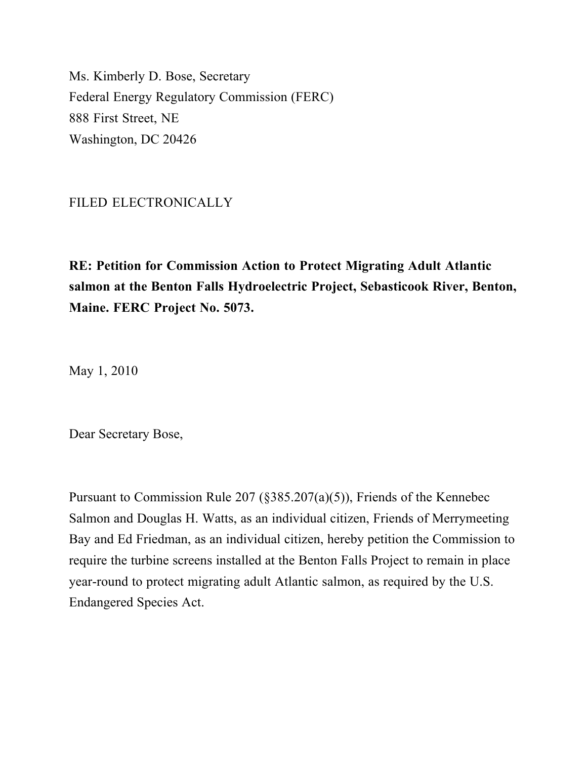Ms. Kimberly D. Bose, Secretary Federal Energy Regulatory Commission (FERC) 888 First Street, NE Washington, DC 20426

#### FILED ELECTRONICALLY

**RE: Petition for Commission Action to Protect Migrating Adult Atlantic salmon at the Benton Falls Hydroelectric Project, Sebasticook River, Benton, Maine. FERC Project No. 5073.**

May 1, 2010

Dear Secretary Bose,

Pursuant to Commission Rule 207 (§385.207(a)(5)), Friends of the Kennebec Salmon and Douglas H. Watts, as an individual citizen, Friends of Merrymeeting Bay and Ed Friedman, as an individual citizen, hereby petition the Commission to require the turbine screens installed at the Benton Falls Project to remain in place year-round to protect migrating adult Atlantic salmon, as required by the U.S. Endangered Species Act.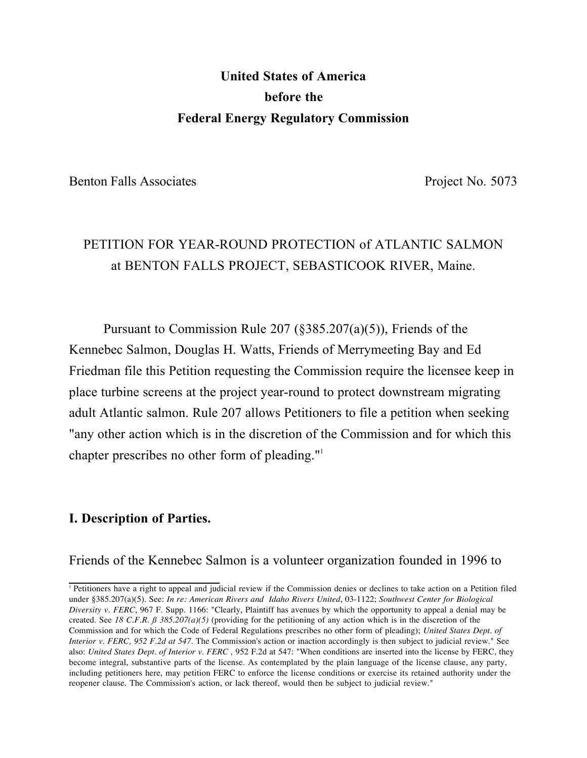# **United States of America before the Federal Energy Regulatory Commission**

Benton Falls Associates Project No. 5073

# PETITION FOR YEAR-ROUND PROTECTION of ATLANTIC SALMON at BENTON FALLS PROJECT, SEBASTICOOK RIVER, Maine.

Pursuant to Commission Rule 207 (§385.207(a)(5)), Friends of the Kennebec Salmon, Douglas H. Watts, Friends of Merrymeeting Bay and Ed Friedman file this Petition requesting the Commission require the licensee keep in place turbine screens at the project year-round to protect downstream migrating adult Atlantic salmon. Rule 207 allows Petitioners to file a petition when seeking "any other action which is in the discretion of the Commission and for which this chapter prescribes no other form of pleading."1

#### **I. Description of Parties.**

Friends of the Kennebec Salmon is a volunteer organization founded in 1996 to

<sup>1</sup> Petitioners have a right to appeal and judicial review if the Commission denies or declines to take action on a Petition filed under §385.207(a)(5). See: *In re: American Rivers and Idaho Rivers United*, 03-1122; *Southwest Center for Biological Diversity v. FERC*, 967 F. Supp. 1166: "Clearly, Plaintiff has avenues by which the opportunity to appeal a denial may be created. See 18 C.F.R.  $\beta$  385.207(a)(5) (providing for the petitioning of any action which is in the discretion of the Commission and for which the Code of Federal Regulations prescribes no other form of pleading); *United States Dept. of Interior v. FERC, 952 F.2d at 547*. The Commission's action or inaction accordingly is then subject to judicial review." See also: *United States Dept. of Interior v. FERC*, 952 F.2d at 547: "When conditions are inserted into the license by FERC, they become integral, substantive parts of the license. As contemplated by the plain language of the license clause, any party, including petitioners here, may petition FERC to enforce the license conditions or exercise its retained authority under the reopener clause. The Commission's action, or lack thereof, would then be subject to judicial review."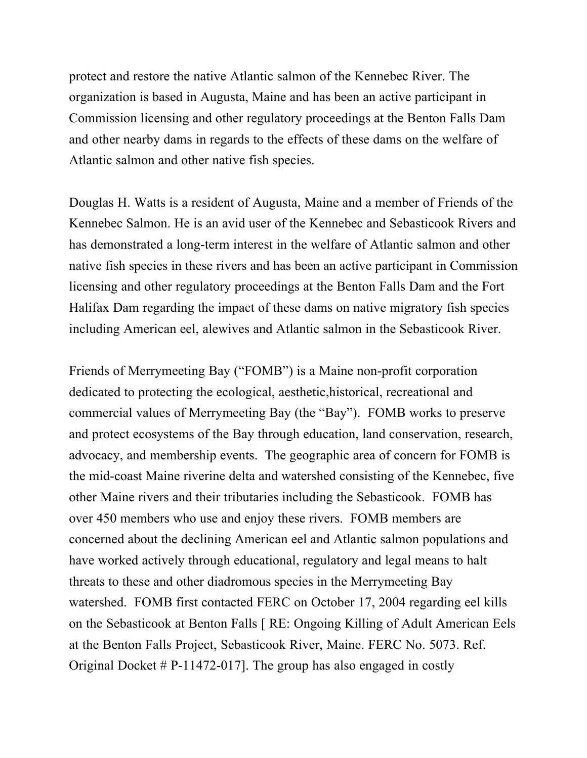protect and restore the native Atlantic salmon of the Kennebec River. The organization is based in Augusta, Maine and has been an active participant in Commission licensing and other regulatory proceedings at the Benton Falls Dam and other nearby dams in regards to the effects of these dams on the welfare of Atlantic salmon and other native fish species.

Douglas H. Watts is a resident of Augusta, Maine and a member of Friends of the Kennebec Salmon. He is an avid user of the Kennebec and Sebasticook Rivers and has demonstrated a long-term interest in the welfare of Atlantic salmon and other native fish species in these rivers and has been an active participant in Commission licensing and other regulatory proceedings at the Benton Falls Dam and the Fort Halifax Dam regarding the impact of these dams on native migratory fish species including American eel, alewives and Atlantic salmon in the Sebasticook River.

Friends of Merrymeeting Bay ("FOMB") is a Maine non-profit corporation dedicated to protecting the ecological, aesthetic,historical, recreational and commercial values of Merrymeeting Bay (the "Bay"). FOMB works to preserve and protect ecosystems of the Bay through education, land conservation, research, advocacy, and membership events. The geographic area of concern for FOMB is the mid-coast Maine riverine delta and watershed consisting of the Kennebec, five other Maine rivers and their tributaries including the Sebasticook. FOMB has over 450 members who use and enjoy these rivers. FOMB members are concerned about the declining American eel and Atlantic salmon populations and have worked actively through educational, regulatory and legal means to halt threats to these and other diadromous species in the Merrymeeting Bay watershed. FOMB first contacted FERC on October 17, 2004 regarding eel kills on the Sebasticook at Benton Falls [ RE: Ongoing Killing of Adult American Eels at the Benton Falls Project, Sebasticook River, Maine. FERC No. 5073. Ref. Original Docket # P-11472-017]. The group has also engaged in costly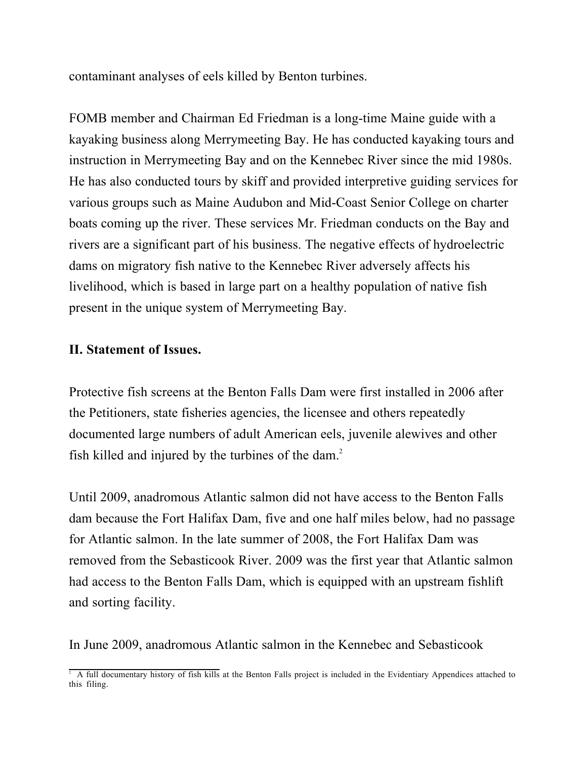contaminant analyses of eels killed by Benton turbines.

FOMB member and Chairman Ed Friedman is a long-time Maine guide with a kayaking business along Merrymeeting Bay. He has conducted kayaking tours and instruction in Merrymeeting Bay and on the Kennebec River since the mid 1980s. He has also conducted tours by skiff and provided interpretive guiding services for various groups such as Maine Audubon and Mid-Coast Senior College on charter boats coming up the river. These services Mr. Friedman conducts on the Bay and rivers are a significant part of his business. The negative effects of hydroelectric dams on migratory fish native to the Kennebec River adversely affects his livelihood, which is based in large part on a healthy population of native fish present in the unique system of Merrymeeting Bay.

#### **II. Statement of Issues.**

Protective fish screens at the Benton Falls Dam were first installed in 2006 after the Petitioners, state fisheries agencies, the licensee and others repeatedly documented large numbers of adult American eels, juvenile alewives and other fish killed and injured by the turbines of the dam. $2$ 

Until 2009, anadromous Atlantic salmon did not have access to the Benton Falls dam because the Fort Halifax Dam, five and one half miles below, had no passage for Atlantic salmon. In the late summer of 2008, the Fort Halifax Dam was removed from the Sebasticook River. 2009 was the first year that Atlantic salmon had access to the Benton Falls Dam, which is equipped with an upstream fishlift and sorting facility.

In June 2009, anadromous Atlantic salmon in the Kennebec and Sebasticook

<sup>&</sup>lt;sup>2</sup> A full documentary history of fish kills at the Benton Falls project is included in the Evidentiary Appendices attached to this filing.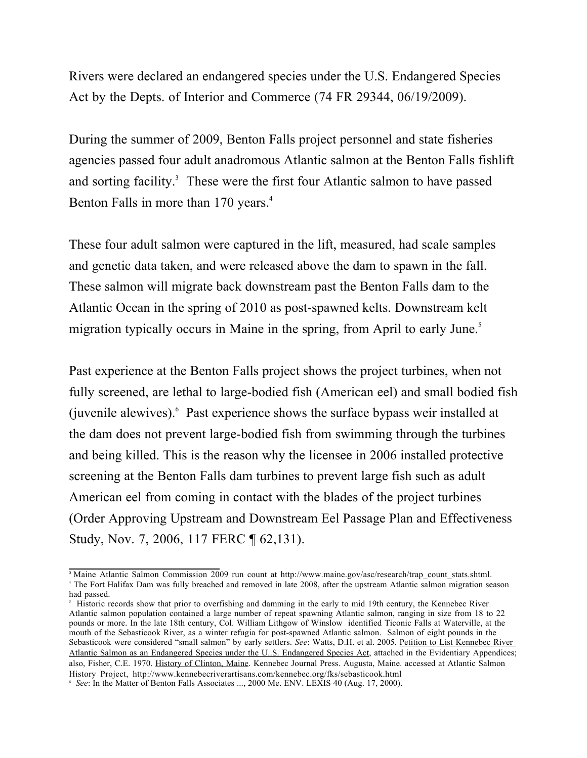Rivers were declared an endangered species under the U.S. Endangered Species Act by the Depts. of Interior and Commerce (74 FR 29344, 06/19/2009).

During the summer of 2009, Benton Falls project personnel and state fisheries agencies passed four adult anadromous Atlantic salmon at the Benton Falls fishlift and sorting facility.<sup>3</sup> These were the first four Atlantic salmon to have passed Benton Falls in more than 170 years.<sup>4</sup>

These four adult salmon were captured in the lift, measured, had scale samples and genetic data taken, and were released above the dam to spawn in the fall. These salmon will migrate back downstream past the Benton Falls dam to the Atlantic Ocean in the spring of 2010 as post-spawned kelts. Downstream kelt migration typically occurs in Maine in the spring, from April to early June.<sup>5</sup>

Past experience at the Benton Falls project shows the project turbines, when not fully screened, are lethal to large-bodied fish (American eel) and small bodied fish (juvenile alewives).6 Past experience shows the surface bypass weir installed at the dam does not prevent large-bodied fish from swimming through the turbines and being killed. This is the reason why the licensee in 2006 installed protective screening at the Benton Falls dam turbines to prevent large fish such as adult American eel from coming in contact with the blades of the project turbines (Order Approving Upstream and Downstream Eel Passage Plan and Effectiveness Study, Nov. 7, 2006, 117 FERC ¶ 62,131).

<sup>&</sup>lt;sup>3</sup> Maine Atlantic Salmon Commission 2009 run count at http://www.maine.gov/asc/research/trap\_count\_stats.shtml. <sup>4</sup> The Fort Halifax Dam was fully breached and removed in late 2008, after the upstream Atlantic salmon migration season had passed.

<sup>&</sup>lt;sup>5</sup> Historic records show that prior to overfishing and damming in the early to mid 19th century, the Kennebec River Atlantic salmon population contained a large number of repeat spawning Atlantic salmon, ranging in size from 18 to 22 pounds or more. In the late 18th century, Col. William Lithgow of Winslow identified Ticonic Falls at Waterville, at the mouth of the Sebasticook River, as a winter refugia for post-spawned Atlantic salmon. Salmon of eight pounds in the Sebasticook were considered "small salmon" by early settlers. *See*: Watts, D.H. et al. 2005. Petition to List Kennebec River Atlantic Salmon as an Endangered Species under the U.S. Endangered Species Act, attached in the Evidentiary Appendices; also, Fisher, C.E. 1970. History of Clinton, Maine. Kennebec Journal Press. Augusta, Maine. accessed at Atlantic Salmon History Project, http://www.kennebecriverartisans.com/kennebec.org/fks/sebasticook.html

<sup>6</sup> *See*: In the Matter of Benton Falls Associates ..., 2000 Me. ENV. LEXIS 40 (Aug. 17, 2000).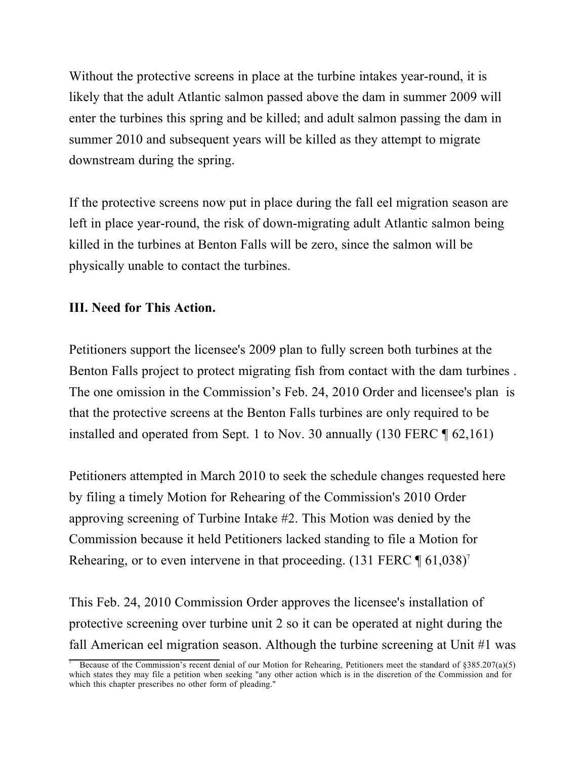Without the protective screens in place at the turbine intakes year-round, it is likely that the adult Atlantic salmon passed above the dam in summer 2009 will enter the turbines this spring and be killed; and adult salmon passing the dam in summer 2010 and subsequent years will be killed as they attempt to migrate downstream during the spring.

If the protective screens now put in place during the fall eel migration season are left in place year-round, the risk of down-migrating adult Atlantic salmon being killed in the turbines at Benton Falls will be zero, since the salmon will be physically unable to contact the turbines.

## **III. Need for This Action.**

Petitioners support the licensee's 2009 plan to fully screen both turbines at the Benton Falls project to protect migrating fish from contact with the dam turbines . The one omission in the Commission's Feb. 24, 2010 Order and licensee's plan is that the protective screens at the Benton Falls turbines are only required to be installed and operated from Sept. 1 to Nov. 30 annually (130 FERC ¶ 62,161)

Petitioners attempted in March 2010 to seek the schedule changes requested here by filing a timely Motion for Rehearing of the Commission's 2010 Order approving screening of Turbine Intake #2. This Motion was denied by the Commission because it held Petitioners lacked standing to file a Motion for Rehearing, or to even intervene in that proceeding.  $(131$  FERC  $\P$  61,038)<sup>7</sup>

This Feb. 24, 2010 Commission Order approves the licensee's installation of protective screening over turbine unit 2 so it can be operated at night during the fall American eel migration season. Although the turbine screening at Unit #1 was

<sup>7</sup> Because of the Commission's recent denial of our Motion for Rehearing, Petitioners meet the standard of §385.207(a)(5) which states they may file a petition when seeking "any other action which is in the discretion of the Commission and for which this chapter prescribes no other form of pleading."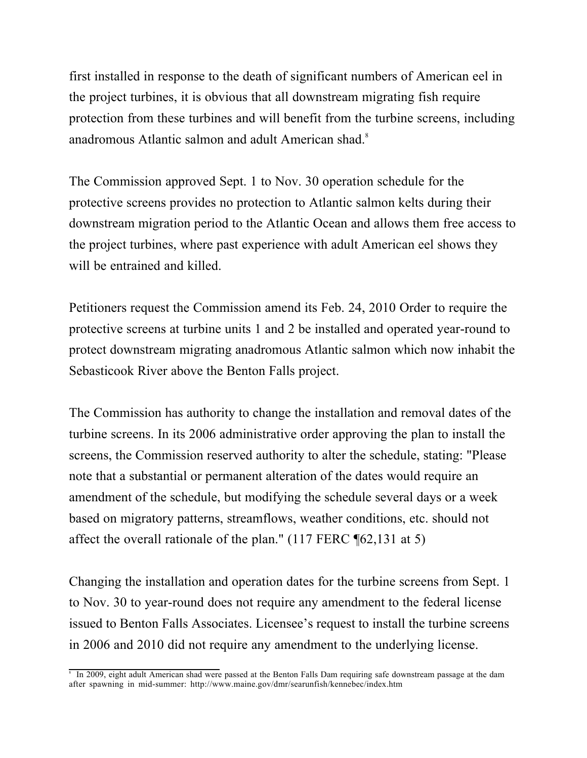first installed in response to the death of significant numbers of American eel in the project turbines, it is obvious that all downstream migrating fish require protection from these turbines and will benefit from the turbine screens, including anadromous Atlantic salmon and adult American shad.8

The Commission approved Sept. 1 to Nov. 30 operation schedule for the protective screens provides no protection to Atlantic salmon kelts during their downstream migration period to the Atlantic Ocean and allows them free access to the project turbines, where past experience with adult American eel shows they will be entrained and killed.

Petitioners request the Commission amend its Feb. 24, 2010 Order to require the protective screens at turbine units 1 and 2 be installed and operated year-round to protect downstream migrating anadromous Atlantic salmon which now inhabit the Sebasticook River above the Benton Falls project.

The Commission has authority to change the installation and removal dates of the turbine screens. In its 2006 administrative order approving the plan to install the screens, the Commission reserved authority to alter the schedule, stating: "Please note that a substantial or permanent alteration of the dates would require an amendment of the schedule, but modifying the schedule several days or a week based on migratory patterns, streamflows, weather conditions, etc. should not affect the overall rationale of the plan." (117 FERC ¶62,131 at 5)

Changing the installation and operation dates for the turbine screens from Sept. 1 to Nov. 30 to year-round does not require any amendment to the federal license issued to Benton Falls Associates. Licensee's request to install the turbine screens in 2006 and 2010 did not require any amendment to the underlying license.

<sup>8</sup> In 2009, eight adult American shad were passed at the Benton Falls Dam requiring safe downstream passage at the dam after spawning in mid-summer: http://www.maine.gov/dmr/searunfish/kennebec/index.htm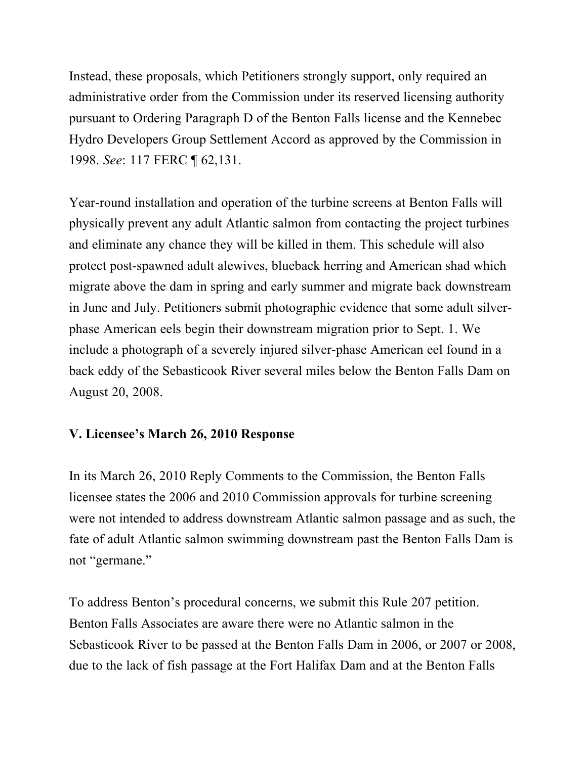Instead, these proposals, which Petitioners strongly support, only required an administrative order from the Commission under its reserved licensing authority pursuant to Ordering Paragraph D of the Benton Falls license and the Kennebec Hydro Developers Group Settlement Accord as approved by the Commission in 1998. *See*: 117 FERC ¶ 62,131.

Year-round installation and operation of the turbine screens at Benton Falls will physically prevent any adult Atlantic salmon from contacting the project turbines and eliminate any chance they will be killed in them. This schedule will also protect post-spawned adult alewives, blueback herring and American shad which migrate above the dam in spring and early summer and migrate back downstream in June and July. Petitioners submit photographic evidence that some adult silverphase American eels begin their downstream migration prior to Sept. 1. We include a photograph of a severely injured silver-phase American eel found in a back eddy of the Sebasticook River several miles below the Benton Falls Dam on August 20, 2008.

# **V. Licensee's March 26, 2010 Response**

In its March 26, 2010 Reply Comments to the Commission, the Benton Falls licensee states the 2006 and 2010 Commission approvals for turbine screening were not intended to address downstream Atlantic salmon passage and as such, the fate of adult Atlantic salmon swimming downstream past the Benton Falls Dam is not "germane."

To address Benton's procedural concerns, we submit this Rule 207 petition. Benton Falls Associates are aware there were no Atlantic salmon in the Sebasticook River to be passed at the Benton Falls Dam in 2006, or 2007 or 2008, due to the lack of fish passage at the Fort Halifax Dam and at the Benton Falls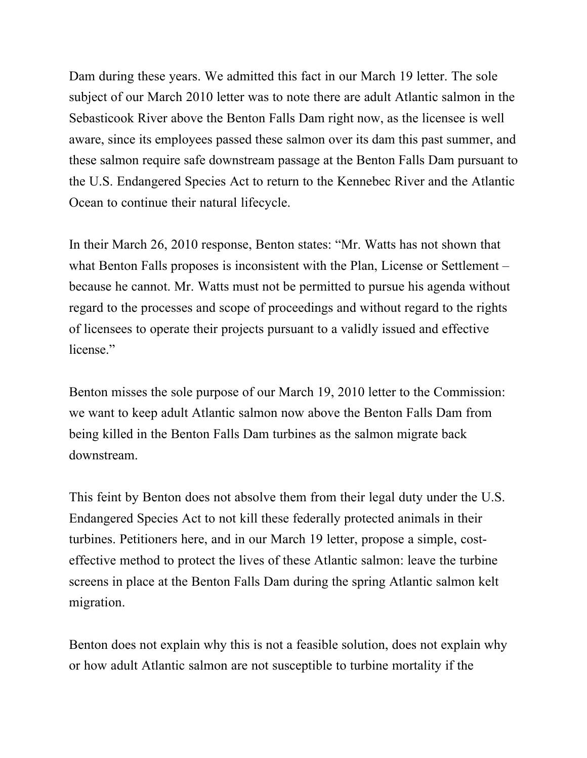Dam during these years. We admitted this fact in our March 19 letter. The sole subject of our March 2010 letter was to note there are adult Atlantic salmon in the Sebasticook River above the Benton Falls Dam right now, as the licensee is well aware, since its employees passed these salmon over its dam this past summer, and these salmon require safe downstream passage at the Benton Falls Dam pursuant to the U.S. Endangered Species Act to return to the Kennebec River and the Atlantic Ocean to continue their natural lifecycle.

In their March 26, 2010 response, Benton states: "Mr. Watts has not shown that what Benton Falls proposes is inconsistent with the Plan, License or Settlement – because he cannot. Mr. Watts must not be permitted to pursue his agenda without regard to the processes and scope of proceedings and without regard to the rights of licensees to operate their projects pursuant to a validly issued and effective license."

Benton misses the sole purpose of our March 19, 2010 letter to the Commission: we want to keep adult Atlantic salmon now above the Benton Falls Dam from being killed in the Benton Falls Dam turbines as the salmon migrate back downstream.

This feint by Benton does not absolve them from their legal duty under the U.S. Endangered Species Act to not kill these federally protected animals in their turbines. Petitioners here, and in our March 19 letter, propose a simple, costeffective method to protect the lives of these Atlantic salmon: leave the turbine screens in place at the Benton Falls Dam during the spring Atlantic salmon kelt migration.

Benton does not explain why this is not a feasible solution, does not explain why or how adult Atlantic salmon are not susceptible to turbine mortality if the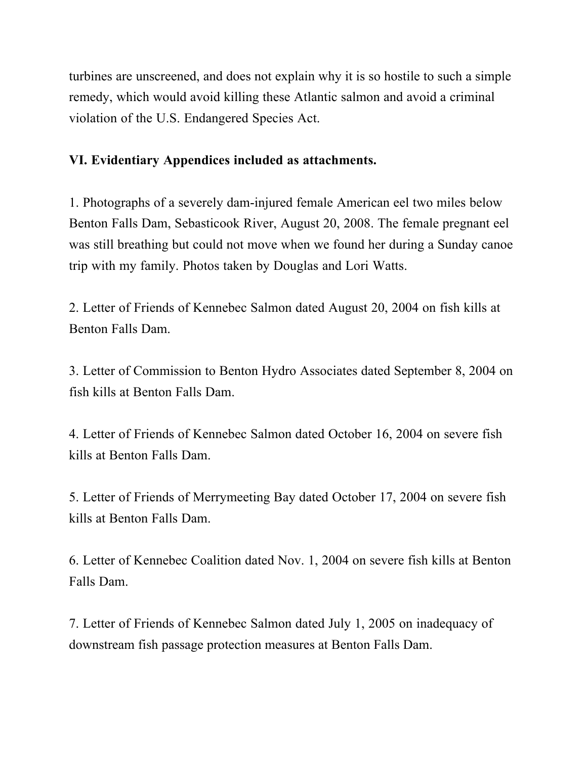turbines are unscreened, and does not explain why it is so hostile to such a simple remedy, which would avoid killing these Atlantic salmon and avoid a criminal violation of the U.S. Endangered Species Act.

## **VI. Evidentiary Appendices included as attachments.**

1. Photographs of a severely dam-injured female American eel two miles below Benton Falls Dam, Sebasticook River, August 20, 2008. The female pregnant eel was still breathing but could not move when we found her during a Sunday canoe trip with my family. Photos taken by Douglas and Lori Watts.

2. Letter of Friends of Kennebec Salmon dated August 20, 2004 on fish kills at Benton Falls Dam.

3. Letter of Commission to Benton Hydro Associates dated September 8, 2004 on fish kills at Benton Falls Dam.

4. Letter of Friends of Kennebec Salmon dated October 16, 2004 on severe fish kills at Benton Falls Dam.

5. Letter of Friends of Merrymeeting Bay dated October 17, 2004 on severe fish kills at Benton Falls Dam.

6. Letter of Kennebec Coalition dated Nov. 1, 2004 on severe fish kills at Benton Falls Dam.

7. Letter of Friends of Kennebec Salmon dated July 1, 2005 on inadequacy of downstream fish passage protection measures at Benton Falls Dam.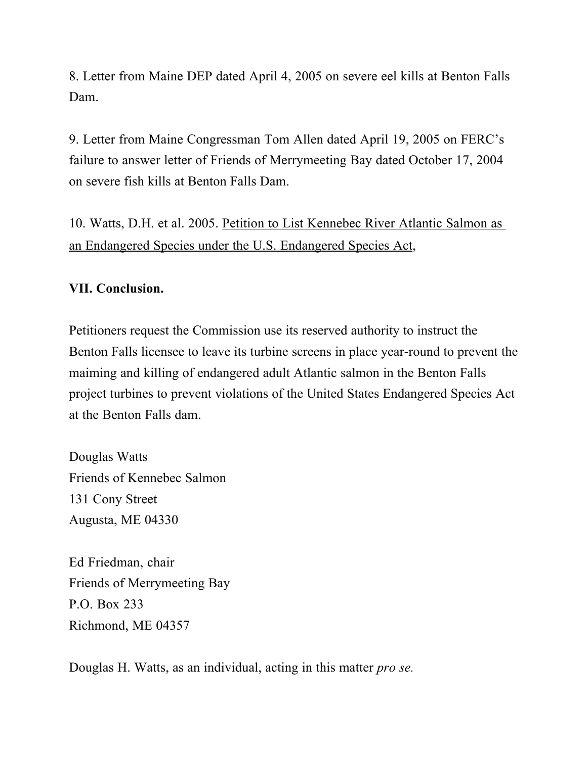8. Letter from Maine DEP dated April 4, 2005 on severe eel kills at Benton Falls Dam.

9. Letter from Maine Congressman Tom Allen dated April 19, 2005 on FERC's failure to answer letter of Friends of Merrymeeting Bay dated October 17, 2004 on severe fish kills at Benton Falls Dam.

10. Watts, D.H. et al. 2005. Petition to List Kennebec River Atlantic Salmon as an Endangered Species under the U.S. Endangered Species Act,

## **VII. Conclusion.**

Petitioners request the Commission use its reserved authority to instruct the Benton Falls licensee to leave its turbine screens in place year-round to prevent the maiming and killing of endangered adult Atlantic salmon in the Benton Falls project turbines to prevent violations of the United States Endangered Species Act at the Benton Falls dam.

Douglas Watts Friends of Kennebec Salmon 131 Cony Street Augusta, ME 04330

Ed Friedman, chair Friends of Merrymeeting Bay P.O. Box 233 Richmond, ME 04357

Douglas H. Watts, as an individual, acting in this matter *pro se.*